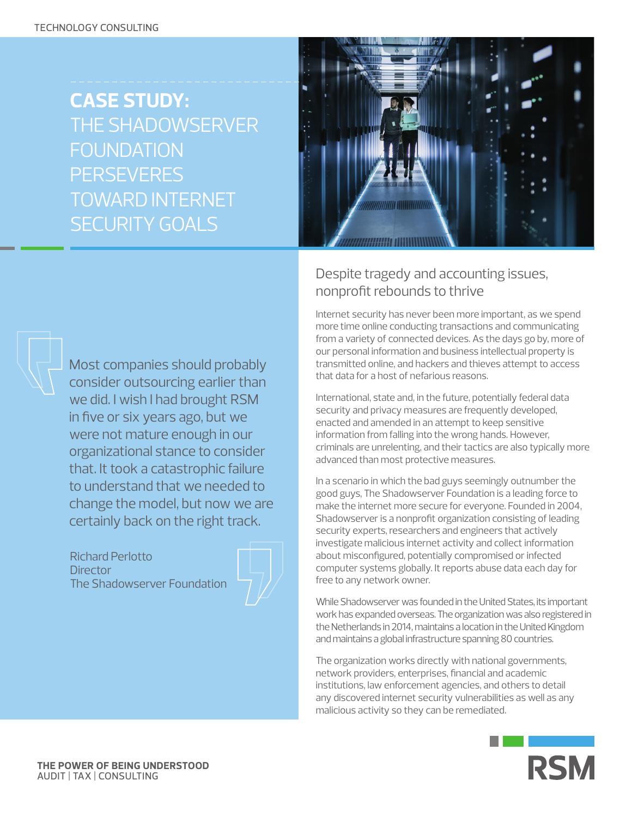**CASE STUDY:**  THE SHADOWSERVER **FOUNDATION PERSEVERES** TOWARD INTERNET SECURITY GOALS



# Despite tragedy and accounting issues, nonprofit rebounds to thrive

Internet security has never been more important, as we spend more time online conducting transactions and communicating from a variety of connected devices. As the days go by, more of our personal information and business intellectual property is transmitted online, and hackers and thieves attempt to access that data for a host of nefarious reasons.

International, state and, in the future, potentially federal data security and privacy measures are frequently developed, enacted and amended in an attempt to keep sensitive information from falling into the wrong hands. However, criminals are unrelenting, and their tactics are also typically more advanced than most protective measures.

In a scenario in which the bad guys seemingly outnumber the good guys, The Shadowserver Foundation is a leading force to make the internet more secure for everyone. Founded in 2004, Shadowserver is a nonprofit organization consisting of leading security experts, researchers and engineers that actively investigate malicious internet activity and collect information about misconfigured, potentially compromised or infected computer systems globally. It reports abuse data each day for free to any network owner.

While Shadowserver was founded in the United States, its important work has expanded overseas. The organization was also registered in the Netherlands in 2014, maintains a location in the United Kingdom and maintains a global infrastructure spanning 80 countries.

The organization works directly with national governments, network providers, enterprises, financial and academic institutions, law enforcement agencies, and others to detail any discovered internet security vulnerabilities as well as any malicious activity so they can be remediated.



Most companies should probably consider outsourcing earlier than we did. I wish I had brought RSM in five or six years ago, but we were not mature enough in our organizational stance to consider that. It took a catastrophic failure to understand that we needed to change the model, but now we are certainly back on the right track.

Richard Perlotto **Director** The Shadowserver Foundation



**THE POWER OF BEING UNDERSTOOD** AUDIT | TAX | CONSULTING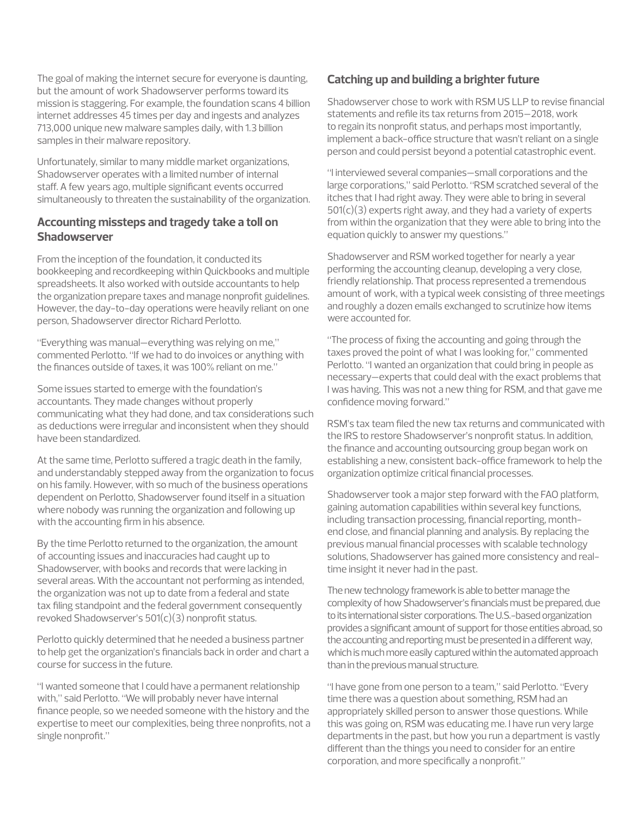The goal of making the internet secure for everyone is daunting, but the amount of work Shadowserver performs toward its mission is staggering. For example, the foundation scans 4 billion internet addresses 45 times per day and ingests and analyzes 713,000 unique new malware samples daily, with 1.3 billion samples in their malware repository.

Unfortunately, similar to many middle market organizations, Shadowserver operates with a limited number of internal staff. A few years ago, multiple significant events occurred simultaneously to threaten the sustainability of the organization.

## **Accounting missteps and tragedy take a toll on Shadowserver**

From the inception of the foundation, it conducted its bookkeeping and recordkeeping within Quickbooks and multiple spreadsheets. It also worked with outside accountants to help the organization prepare taxes and manage nonprofit guidelines. However, the day-to-day operations were heavily reliant on one person, Shadowserver director Richard Perlotto.

"Everything was manual—everything was relying on me," commented Perlotto. "If we had to do invoices or anything with the finances outside of taxes, it was 100% reliant on me."

Some issues started to emerge with the foundation's accountants. They made changes without properly communicating what they had done, and tax considerations such as deductions were irregular and inconsistent when they should have been standardized.

At the same time, Perlotto suffered a tragic death in the family, and understandably stepped away from the organization to focus on his family. However, with so much of the business operations dependent on Perlotto, Shadowserver found itself in a situation where nobody was running the organization and following up with the accounting firm in his absence.

By the time Perlotto returned to the organization, the amount of accounting issues and inaccuracies had caught up to Shadowserver, with books and records that were lacking in several areas. With the accountant not performing as intended, the organization was not up to date from a federal and state tax filing standpoint and the federal government consequently revoked Shadowserver's  $501(c)(3)$  nonprofit status.

Perlotto quickly determined that he needed a business partner to help get the organization's financials back in order and chart a course for success in the future.

"I wanted someone that I could have a permanent relationship with," said Perlotto. "We will probably never have internal finance people, so we needed someone with the history and the expertise to meet our complexities, being three nonprofits, not a single nonprofit."

# **Catching up and building a brighter future**

Shadowserver chose to work with RSM US LLP to revise financial statements and refile its tax returns from 2015–2018, work to regain its nonprofit status, and perhaps most importantly, implement a back-office structure that wasn't reliant on a single person and could persist beyond a potential catastrophic event.

"I interviewed several companies—small corporations and the large corporations," said Perlotto. "RSM scratched several of the itches that I had right away. They were able to bring in several  $501(c)(3)$  experts right away, and they had a variety of experts from within the organization that they were able to bring into the equation quickly to answer my questions."

Shadowserver and RSM worked together for nearly a year performing the accounting cleanup, developing a very close, friendly relationship. That process represented a tremendous amount of work, with a typical week consisting of three meetings and roughly a dozen emails exchanged to scrutinize how items were accounted for.

"The process of fixing the accounting and going through the taxes proved the point of what I was looking for," commented Perlotto. "I wanted an organization that could bring in people as necessary—experts that could deal with the exact problems that I was having. This was not a new thing for RSM, and that gave me confidence moving forward."

RSM's tax team filed the new tax returns and communicated with the IRS to restore Shadowserver's nonprofit status. In addition, the finance and accounting outsourcing group began work on establishing a new, consistent back-office framework to help the organization optimize critical financial processes.

Shadowserver took a major step forward with the FAO platform, gaining automation capabilities within several key functions, including transaction processing, financial reporting, monthend close, and financial planning and analysis. By replacing the previous manual financial processes with scalable technology solutions, Shadowserver has gained more consistency and realtime insight it never had in the past.

The new technology framework is able to better manage the complexity of how Shadowserver's financials must be prepared, due to its international sister corporations. The U.S.-based organization provides a significant amount of support for those entities abroad, so the accounting and reporting must be presented in a different way, which is much more easily captured within the automated approach than in the previous manual structure.

"I have gone from one person to a team," said Perlotto. "Every time there was a question about something, RSM had an appropriately skilled person to answer those questions. While this was going on, RSM was educating me. I have run very large departments in the past, but how you run a department is vastly different than the things you need to consider for an entire corporation, and more specifically a nonprofit."